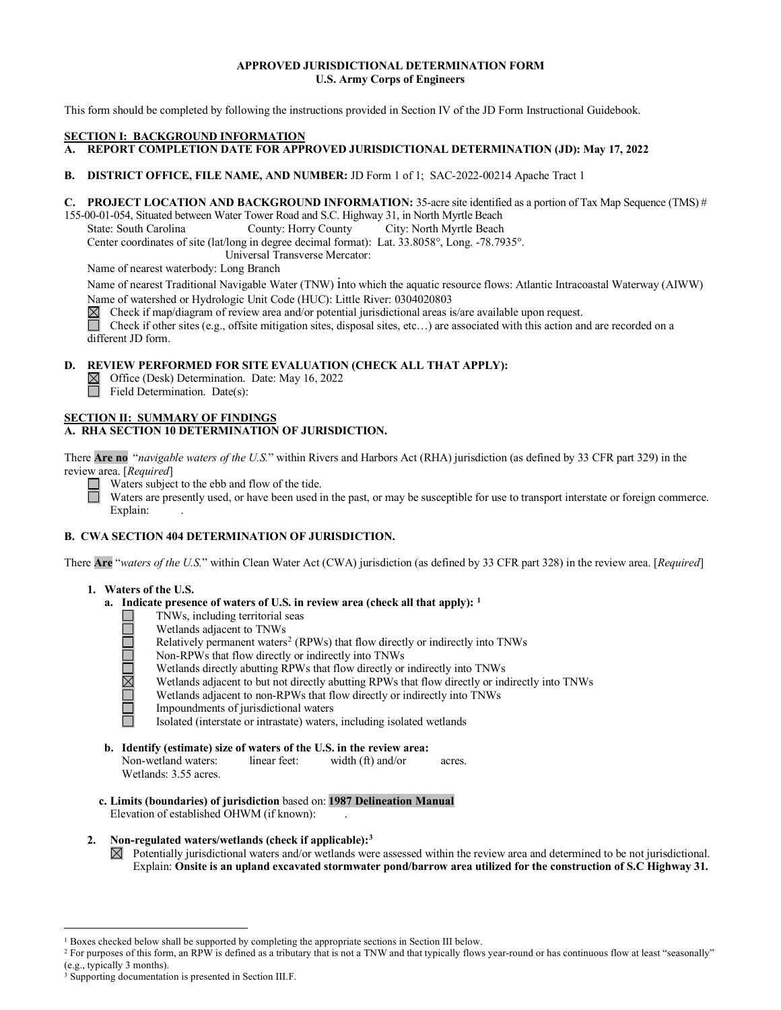# **APPROVED JURISDICTIONAL DETERMINATION FORM U.S. Army Corps of Engineers**

This form should be completed by following the instructions provided in Section IV of the JD Form Instructional Guidebook.

## **SECTION I: BACKGROUND INFORMATION**

- **A. REPORT COMPLETION DATE FOR APPROVED JURISDICTIONAL DETERMINATION (JD): May 17, 2022**
- **B. DISTRICT OFFICE, FILE NAME, AND NUMBER:** JD Form 1 of 1; SAC-2022-00214 Apache Tract 1

# **C. PROJECT LOCATION AND BACKGROUND INFORMATION:** 35-acre site identified as a portion of Tax Map Sequence (TMS) #

155-00-01-054, Situated between Water Tower Road and S.C. Highway 31, in North Myrtle Beach

State: South Carolina County: Horry County City: North Myrtle Beach

Center coordinates of site (lat/long in degree decimal format): Lat. 33.8058°, Long. -78.7935°.

Universal Transverse Mercator:

Name of nearest waterbody: Long Branch

Name of nearest Traditional Navigable Water (TNW) into which the aquatic resource flows: Atlantic Intracoastal Waterway (AIWW)

Name of watershed or Hydrologic Unit Code (HUC): Little River: 0304020803 <br>
⊠ Check if map/diagram of review area and/or potential jurisdictional areas is Check if map/diagram of review area and/or potential jurisdictional areas is/are available upon request.

Check if other sites (e.g., offsite mitigation sites, disposal sites, etc...) are associated with this action and are recorded on a different JD form.

# **D. REVIEW PERFORMED FOR SITE EVALUATION (CHECK ALL THAT APPLY):**

Office (Desk) Determination. Date: May 16, 2022

Field Determination. Date(s):

### **SECTION II: SUMMARY OF FINDINGS A. RHA SECTION 10 DETERMINATION OF JURISDICTION.**

There **Are no** "*navigable waters of the U.S.*" within Rivers and Harbors Act (RHA) jurisdiction (as defined by 33 CFR part 329) in the review area. [*Required*]

Waters subject to the ebb and flow of the tide.

Waters are presently used, or have been used in the past, or may be susceptible for use to transport interstate or foreign commerce. Explain:

# **B. CWA SECTION 404 DETERMINATION OF JURISDICTION.**

There **Are** "*waters of the U.S.*" within Clean Water Act (CWA) jurisdiction (as defined by 33 CFR part 328) in the review area. [*Required*]

# **1. Waters of the U.S.**

- **a. Indicate presence of waters of U.S. in review area (check all that apply): [1](#page-0-0)**
	-
	- Wetlands adjacent to TNWs
	- TNWs, including territorial seas<br>
	Wetlands adjacent to TNWs<br>
	Relatively permanent waters<sup>2</sup> (R<br>
	Non-RPWs that flow directly or<br>
	Wetlands dijacent to but not dir<br>
	Wetlands adjacent to non-RPWs<br>
	Impoundments of jurisdictiona Relatively permanent waters<sup>[2](#page-0-1)</sup> (RPWs) that flow directly or indirectly into TNWs
		- Non-RPWs that flow directly or indirectly into TNWs
		- Wetlands directly abutting RPWs that flow directly or indirectly into TNWs
		- Wetlands adjacent to but not directly abutting RPWs that flow directly or indirectly into TNWs
		- Wetlands adjacent to non-RPWs that flow directly or indirectly into TNWs
		- Impoundments of jurisdictional waters
		- Isolated (interstate or intrastate) waters, including isolated wetlands
- **b. Identify (estimate) size of waters of the U.S. in the review area:** Non-wetland waters: linear feet: width (ft) and/or acres. Wetlands: 3.55 acres.
- **c. Limits (boundaries) of jurisdiction** based on: **1987 Delineation Manual** Elevation of established OHWM (if known):
- **2. Non-regulated waters/wetlands (check if applicable)[:3](#page-0-2)**
	- $\boxtimes$  Potentially jurisdictional waters and/or wetlands were assessed within the review area and determined to be not jurisdictional. Explain: **Onsite is an upland excavated stormwater pond/barrow area utilized for the construction of S.C Highway 31.**

<span id="page-0-0"></span><sup>1</sup> Boxes checked below shall be supported by completing the appropriate sections in Section III below.

<span id="page-0-1"></span><sup>&</sup>lt;sup>2</sup> For purposes of this form, an RPW is defined as a tributary that is not a TNW and that typically flows year-round or has continuous flow at least "seasonally" (e.g., typically 3 months).

<span id="page-0-2"></span><sup>3</sup> Supporting documentation is presented in Section III.F.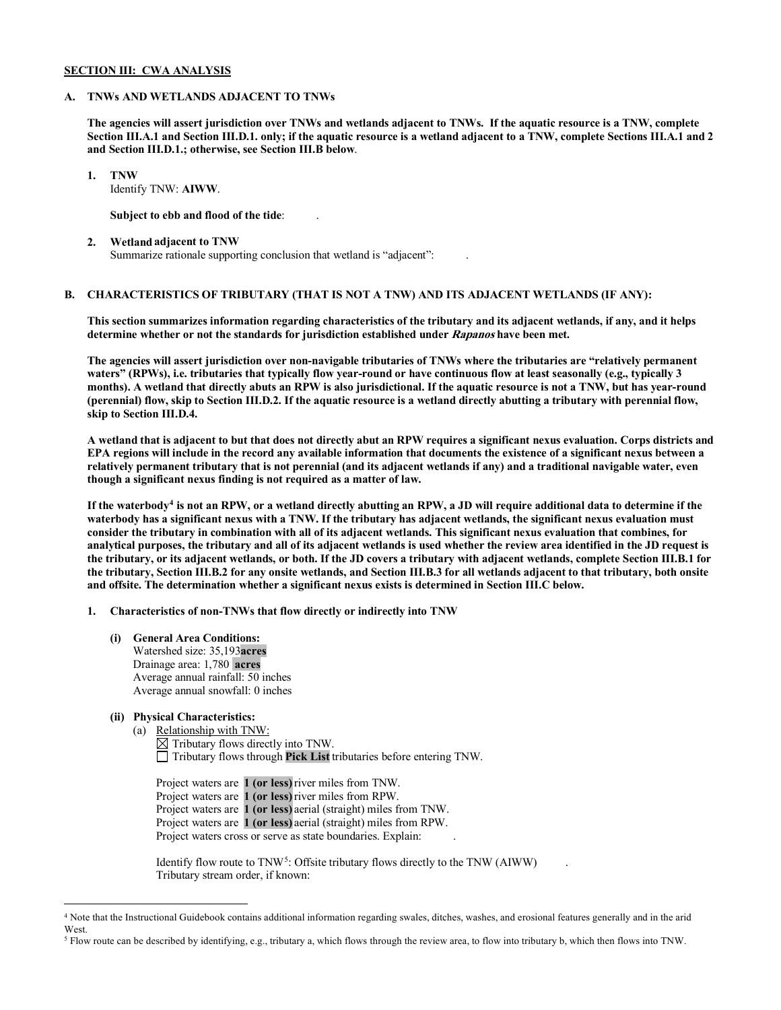## **SECTION III: CWA ANALYSIS**

## **A. TNWs AND WETLANDS ADJACENT TO TNWs**

**The agencies will assert jurisdiction over TNWs and wetlands adjacent to TNWs. If the aquatic resource is a TNW, complete Section III.A.1 and Section III.D.1. only; if the aquatic resource is a wetland adjacent to a TNW, complete Sections III.A.1 and 2 and Section III.D.1.; otherwise, see Section III.B below**.

 **1. TNW**  Identify TNW: **AIWW**.

**Subject to ebb and flood of the tide**: .

 **2. Wetland adjacent to TNW**  Summarize rationale supporting conclusion that wetland is "adjacent":

# **B. CHARACTERISTICS OF TRIBUTARY (THAT IS NOT A TNW) AND ITS ADJACENT WETLANDS (IF ANY):**

 **This section summarizes information regarding characteristics of the tributary and its adjacent wetlands, if any, and it helps determine whether or not the standards for jurisdiction established under Rapanos have been met.** 

 **The agencies will assert jurisdiction over non-navigable tributaries of TNWs where the tributaries are "relatively permanent waters" (RPWs), i.e. tributaries that typically flow year-round or have continuous flow at least seasonally (e.g., typically 3 months). A wetland that directly abuts an RPW is also jurisdictional. If the aquatic resource is not a TNW, but has year-round (perennial) flow, skip to Section III.D.2. If the aquatic resource is a wetland directly abutting a tributary with perennial flow, skip to Section III.D.4.** 

**A wetland that is adjacent to but that does not directly abut an RPW requires a significant nexus evaluation. Corps districts and EPA regions will include in the record any available information that documents the existence of a significant nexus between a relatively permanent tributary that is not perennial (and its adjacent wetlands if any) and a traditional navigable water, even though a significant nexus finding is not required as a matter of law.** 

**If the waterbody[4](#page-1-0) is not an RPW, or a wetland directly abutting an RPW, a JD will require additional data to determine if the waterbody has a significant nexus with a TNW. If the tributary has adjacent wetlands, the significant nexus evaluation must consider the tributary in combination with all of its adjacent wetlands. This significant nexus evaluation that combines, for analytical purposes, the tributary and all of its adjacent wetlands is used whether the review area identified in the JD request is the tributary, or its adjacent wetlands, or both. If the JD covers a tributary with adjacent wetlands, complete Section III.B.1 for the tributary, Section III.B.2 for any onsite wetlands, and Section III.B.3 for all wetlands adjacent to that tributary, both onsite and offsite. The determination whether a significant nexus exists is determined in Section III.C below.** 

 **1. Characteristics of non-TNWs that flow directly or indirectly into TNW**

- **(i) General Area Conditions:** Watershed size: 35,193**acres**
	- Drainage area: 1,780 **acres** Average annual rainfall: 50 inches Average annual snowfall: 0 inches
- **(ii) Physical Characteristics:**

(a) Relationship with TNW:  $\overline{\boxtimes}$  Tributary flows directly into TNW. Tributary flows through **Pick List** tributaries before entering TNW.

Project waters are **1 (or less)**river miles from TNW. Project waters are **1 (or less)**river miles from RPW. Project waters are **1 (or less)** aerial (straight) miles from TNW. Project waters are **1 (or less)** aerial (straight) miles from RPW. Project waters cross or serve as state boundaries. Explain:

Identify flow route to  $TNW<sup>5</sup>$  $TNW<sup>5</sup>$  $TNW<sup>5</sup>$ : Offsite tributary flows directly to the TNW (AIWW) Tributary stream order, if known:

<span id="page-1-0"></span><sup>4</sup> Note that the Instructional Guidebook contains additional information regarding swales, ditches, washes, and erosional features generally and in the arid West.

<span id="page-1-1"></span><sup>5</sup> Flow route can be described by identifying, e.g., tributary a, which flows through the review area, to flow into tributary b, which then flows into TNW.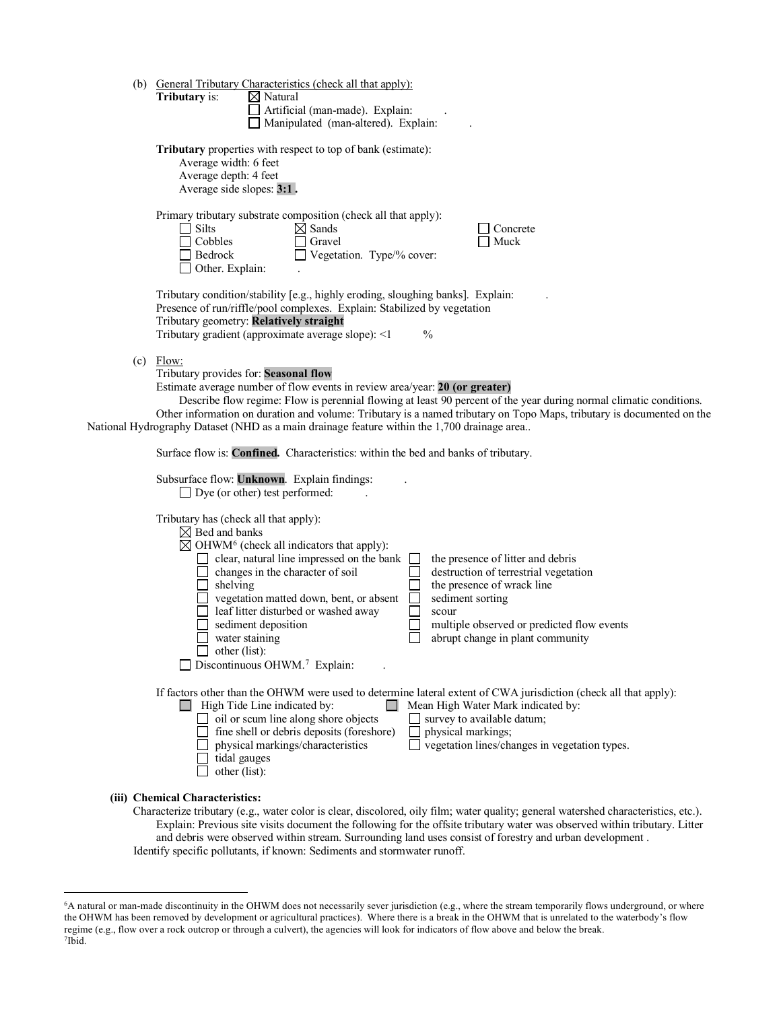| (b) | <b>General Tributary Characteristics (check all that apply):</b>                                                                                                                                                                                                                                                                                                                                                                                                                                                                                                                                                                                           |
|-----|------------------------------------------------------------------------------------------------------------------------------------------------------------------------------------------------------------------------------------------------------------------------------------------------------------------------------------------------------------------------------------------------------------------------------------------------------------------------------------------------------------------------------------------------------------------------------------------------------------------------------------------------------------|
|     | $\boxtimes$ Natural<br><b>Tributary</b> is:<br>Artificial (man-made). Explain:                                                                                                                                                                                                                                                                                                                                                                                                                                                                                                                                                                             |
|     | Manipulated (man-altered). Explain:                                                                                                                                                                                                                                                                                                                                                                                                                                                                                                                                                                                                                        |
|     | <b>Tributary</b> properties with respect to top of bank (estimate):<br>Average width: 6 feet<br>Average depth: 4 feet<br>Average side slopes: 3:1.                                                                                                                                                                                                                                                                                                                                                                                                                                                                                                         |
|     | Primary tributary substrate composition (check all that apply):<br>Silts<br>$\boxtimes$ Sands<br>Concrete<br>Cobbles<br>Gravel<br>Muck<br>Vegetation. Type/% cover:<br>Bedrock<br>Other. Explain:                                                                                                                                                                                                                                                                                                                                                                                                                                                          |
|     | Tributary condition/stability [e.g., highly eroding, sloughing banks]. Explain:<br>Presence of run/riffle/pool complexes. Explain: Stabilized by vegetation<br>Tributary geometry: Relatively straight<br>Tributary gradient (approximate average slope): <1<br>$\frac{0}{0}$                                                                                                                                                                                                                                                                                                                                                                              |
|     | $(c)$ Flow:<br>Tributary provides for: Seasonal flow<br>Estimate average number of flow events in review area/year: 20 (or greater)<br>Describe flow regime: Flow is perennial flowing at least 90 percent of the year during normal climatic conditions.<br>Other information on duration and volume: Tributary is a named tributary on Topo Maps, tributary is documented on the<br>National Hydrography Dataset (NHD as a main drainage feature within the 1,700 drainage area                                                                                                                                                                          |
|     | Surface flow is: Confined. Characteristics: within the bed and banks of tributary.                                                                                                                                                                                                                                                                                                                                                                                                                                                                                                                                                                         |
|     | Subsurface flow: Unknown. Explain findings:<br>$\Box$ Dye (or other) test performed:                                                                                                                                                                                                                                                                                                                                                                                                                                                                                                                                                                       |
|     | Tributary has (check all that apply):<br>$\boxtimes$ Bed and banks<br>$\boxtimes$ OHWM <sup>6</sup> (check all indicators that apply):<br>$\Box$ clear, natural line impressed on the bank<br>the presence of litter and debris<br>changes in the character of soil<br>destruction of terrestrial vegetation<br>shelving<br>the presence of wrack line<br>vegetation matted down, bent, or absent<br>sediment sorting<br>leaf litter disturbed or washed away<br>scour<br>sediment deposition<br>multiple observed or predicted flow events<br>water staining<br>abrupt change in plant community<br>$\Box$ other (list):<br>Discontinuous OHWM.7 Explain: |
|     | If factors other than the OHWM were used to determine lateral extent of CWA jurisdiction (check all that apply):<br>Mean High Water Mark indicated by:<br>$\Box$ High Tide Line indicated by:<br>$\Box$ oil or scum line along shore objects<br>survey to available datum;<br>fine shell or debris deposits (foreshore)<br>physical markings;<br>vegetation lines/changes in vegetation types.<br>physical markings/characteristics<br>tidal gauges<br>other (list):                                                                                                                                                                                       |
|     | (iii) Chemical Characteristics:<br>Characterize tributary (e.g., water color is clear, discolored, oily film; water quality; general watershed characteristics, etc.).                                                                                                                                                                                                                                                                                                                                                                                                                                                                                     |

Characterize tributary (e.g., water color is clear, discolored, oily film; water quality; general watershed characteristics, etc.). Explain: Previous site visits document the following for the offsite tributary water was observed within tributary. Litter and debris were observed within stream. Surrounding land uses consist of forestry and urban development . Identify specific pollutants, if known: Sediments and stormwater runoff.

<span id="page-2-1"></span><span id="page-2-0"></span><sup>6</sup>A natural or man-made discontinuity in the OHWM does not necessarily sever jurisdiction (e.g., where the stream temporarily flows underground, or where the OHWM has been removed by development or agricultural practices). Where there is a break in the OHWM that is unrelated to the waterbody's flow regime (e.g., flow over a rock outcrop or through a culvert), the agencies will look for indicators of flow above and below the break. 7Ibid.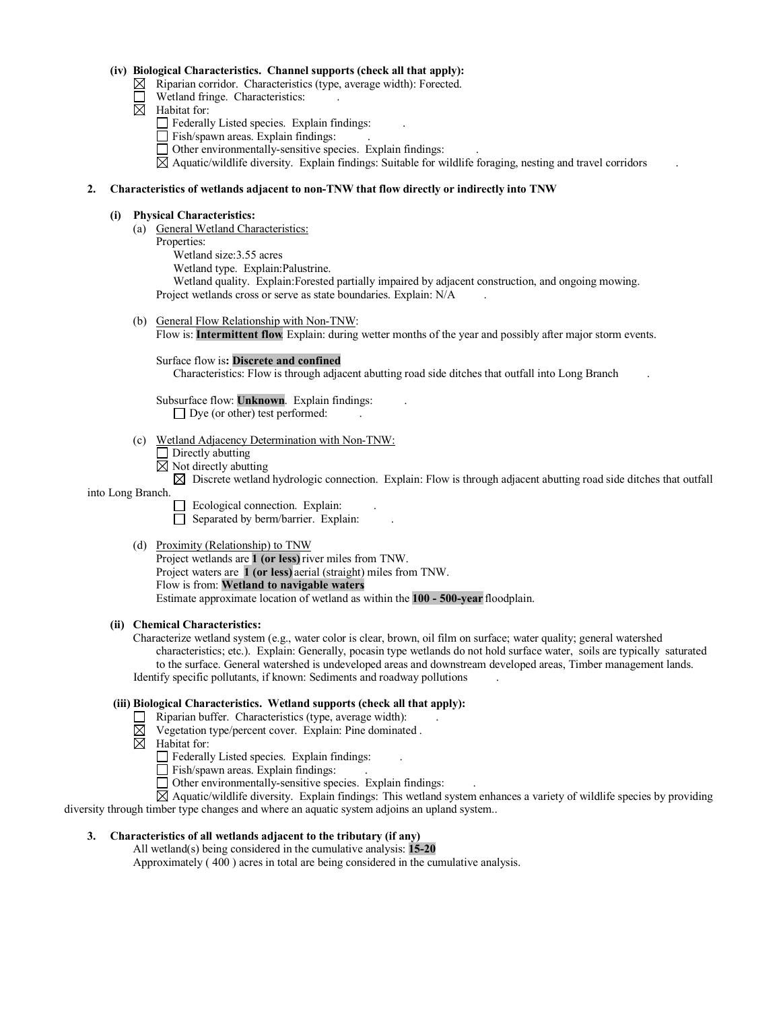## **(iv) Biological Characteristics. Channel supports (check all that apply):**

- $\boxtimes$  Riparian corridor. Characteristics (type, average width): Forected.
- Wetland fringe. Characteristics:
- $\boxtimes$  Habitat for:
	- Federally Listed species. Explain findings: .
	- Fish/spawn areas. Explain findings:
	- Other environmentally-sensitive species. Explain findings: .

 $\boxtimes$  Aquatic/wildlife diversity. Explain findings: Suitable for wildlife foraging, nesting and travel corridors

## **2. Characteristics of wetlands adjacent to non-TNW that flow directly or indirectly into TNW**

## **(i) Physical Characteristics:**

- (a) General Wetland Characteristics:
	- Properties:
		- Wetland size:3.55 acres
		- Wetland type. Explain:Palustrine.

 Wetland quality. Explain:Forested partially impaired by adjacent construction, and ongoing mowing. Project wetlands cross or serve as state boundaries. Explain: N/A .

(b) General Flow Relationship with Non-TNW:

Flow is: **Intermittent flow**. Explain: during wetter months of the year and possibly after major storm events.

Surface flow is**: Discrete and confined** 

Characteristics: Flow is through adjacent abutting road side ditches that outfall into Long Branch .

 Subsurface flow: **Unknown**. Explain findings: .  $\Box$  Dye (or other) test performed:

- (c) Wetland Adjacency Determination with Non-TNW:
	- **Directly abutting**
	- $\boxtimes$  Not directly abutting

 $\boxtimes$  Discrete wetland hydrologic connection. Explain: Flow is through adjacent abutting road side ditches that outfall

#### into Long Branch.

- Ecological connection. Explain:  $\Box$  Separated by berm/barrier. Explain:
- (d) Proximity (Relationship) to TNW

Project wetlands are **1 (or less)**river miles from TNW. Project waters are **1 (or less)** aerial (straight) miles from TNW. Flow is from: **Wetland to navigable waters.** Estimate approximate location of wetland as within the **100 - 500-year** floodplain.

#### **(ii) Chemical Characteristics:**

Characterize wetland system (e.g., water color is clear, brown, oil film on surface; water quality; general watershed characteristics; etc.). Explain: Generally, pocasin type wetlands do not hold surface water, soils are typically saturated to the surface. General watershed is undeveloped areas and downstream developed areas, Timber management lands. Identify specific pollutants, if known: Sediments and roadway pollutions .

# **(iii) Biological Characteristics. Wetland supports (check all that apply):**

- $\Box$  Riparian buffer. Characteristics (type, average width):
- $\boxtimes$  Vegetation type/percent cover. Explain: Pine dominated .
- $\boxtimes$  Habitat for:
	- Federally Listed species. Explain findings: .
	- Fish/spawn areas. Explain findings: .
	- Other environmentally-sensitive species. Explain findings: .

 $\boxtimes$  Aquatic/wildlife diversity. Explain findings: This wetland system enhances a variety of wildlife species by providing diversity through timber type changes and where an aquatic system adjoins an upland system..

**3. Characteristics of all wetlands adjacent to the tributary (if any)** 

All wetland(s) being considered in the cumulative analysis: **15-20**

Approximately ( 400 ) acres in total are being considered in the cumulative analysis.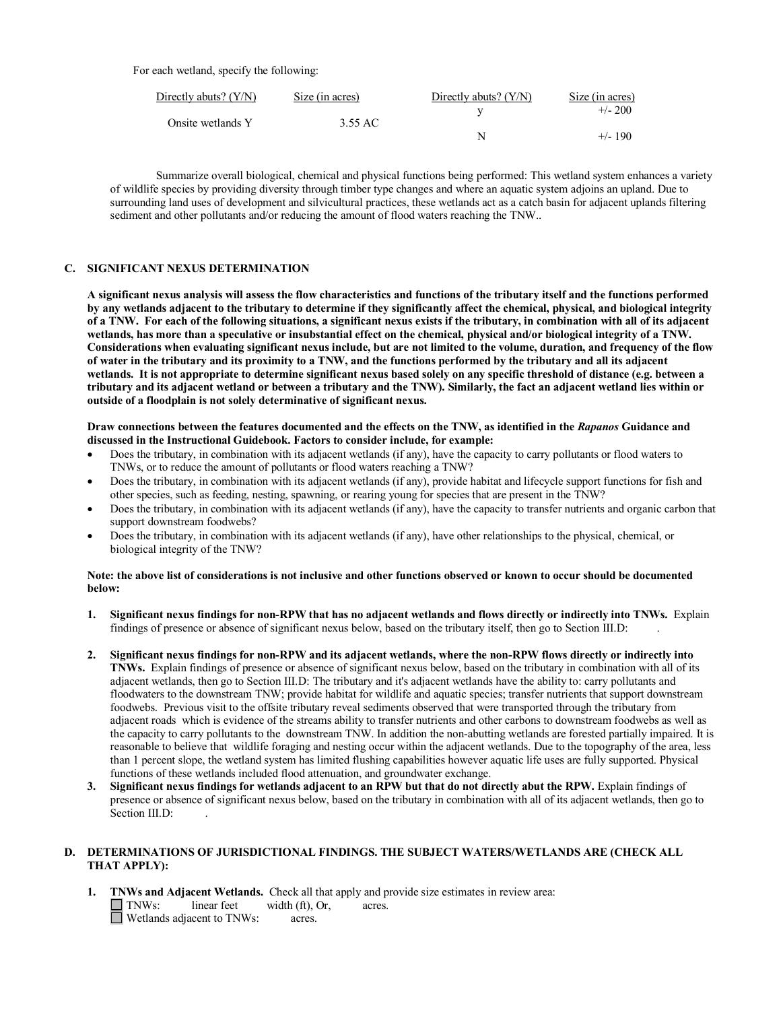For each wetland, specify the following:

| Directly abuts? $(Y/N)$ | Size (in acres) | Directly abuts? $(Y/N)$ | Size (in acres) |
|-------------------------|-----------------|-------------------------|-----------------|
| Onsite wetlands Y       | 3.55 AC         |                         | $+/- 200$       |
|                         |                 | N                       | $+/- 190$       |

 Summarize overall biological, chemical and physical functions being performed: This wetland system enhances a variety of wildlife species by providing diversity through timber type changes and where an aquatic system adjoins an upland. Due to surrounding land uses of development and silvicultural practices, these wetlands act as a catch basin for adjacent uplands filtering sediment and other pollutants and/or reducing the amount of flood waters reaching the TNW..

## **C. SIGNIFICANT NEXUS DETERMINATION**

**A significant nexus analysis will assess the flow characteristics and functions of the tributary itself and the functions performed by any wetlands adjacent to the tributary to determine if they significantly affect the chemical, physical, and biological integrity of a TNW. For each of the following situations, a significant nexus exists if the tributary, in combination with all of its adjacent wetlands, has more than a speculative or insubstantial effect on the chemical, physical and/or biological integrity of a TNW. Considerations when evaluating significant nexus include, but are not limited to the volume, duration, and frequency of the flow of water in the tributary and its proximity to a TNW, and the functions performed by the tributary and all its adjacent wetlands. It is not appropriate to determine significant nexus based solely on any specific threshold of distance (e.g. between a tributary and its adjacent wetland or between a tributary and the TNW). Similarly, the fact an adjacent wetland lies within or outside of a floodplain is not solely determinative of significant nexus.** 

## **Draw connections between the features documented and the effects on the TNW, as identified in the** *Rapanos* **Guidance and discussed in the Instructional Guidebook. Factors to consider include, for example:**

- Does the tributary, in combination with its adjacent wetlands (if any), have the capacity to carry pollutants or flood waters to TNWs, or to reduce the amount of pollutants or flood waters reaching a TNW?
- Does the tributary, in combination with its adjacent wetlands (if any), provide habitat and lifecycle support functions for fish and other species, such as feeding, nesting, spawning, or rearing young for species that are present in the TNW?
- Does the tributary, in combination with its adjacent wetlands (if any), have the capacity to transfer nutrients and organic carbon that support downstream foodwebs?
- Does the tributary, in combination with its adjacent wetlands (if any), have other relationships to the physical, chemical, or biological integrity of the TNW?

## **Note: the above list of considerations is not inclusive and other functions observed or known to occur should be documented below:**

- **1. Significant nexus findings for non-RPW that has no adjacent wetlands and flows directly or indirectly into TNWs.** Explain findings of presence or absence of significant nexus below, based on the tributary itself, then go to Section III.D: .
- **2. Significant nexus findings for non-RPW and its adjacent wetlands, where the non-RPW flows directly or indirectly into TNWs.** Explain findings of presence or absence of significant nexus below, based on the tributary in combination with all of its adjacent wetlands, then go to Section III.D: The tributary and it's adjacent wetlands have the ability to: carry pollutants and floodwaters to the downstream TNW; provide habitat for wildlife and aquatic species; transfer nutrients that support downstream foodwebs. Previous visit to the offsite tributary reveal sediments observed that were transported through the tributary from adjacent roads which is evidence of the streams ability to transfer nutrients and other carbons to downstream foodwebs as well as the capacity to carry pollutants to the downstream TNW. In addition the non-abutting wetlands are forested partially impaired. It is reasonable to believe that wildlife foraging and nesting occur within the adjacent wetlands. Due to the topography of the area, less than 1 percent slope, the wetland system has limited flushing capabilities however aquatic life uses are fully supported. Physical functions of these wetlands included flood attenuation, and groundwater exchange.
- **3. Significant nexus findings for wetlands adjacent to an RPW but that do not directly abut the RPW.** Explain findings of presence or absence of significant nexus below, based on the tributary in combination with all of its adjacent wetlands, then go to Section III.D:

## **D. DETERMINATIONS OF JURISDICTIONAL FINDINGS. THE SUBJECT WATERS/WETLANDS ARE (CHECK ALL THAT APPLY):**

**1. TNWs and Adjacent Wetlands.** Check all that apply and provide size estimates in review area: **T** TNWs: linear feet width (ft), Or, acres.  $\Box$  Wetlands adjacent to TNWs: acres.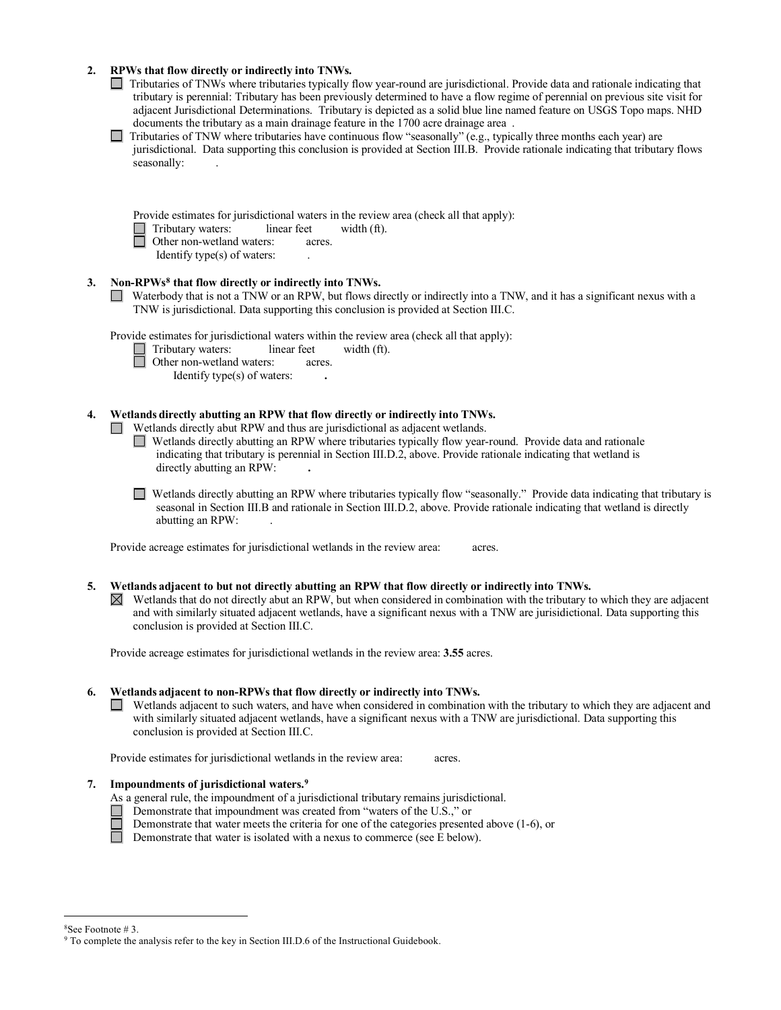# **2. RPWs that flow directly or indirectly into TNWs.**

- Tributaries of TNWs where tributaries typically flow year-round are jurisdictional. Provide data and rationale indicating that tributary is perennial: Tributary has been previously determined to have a flow regime of perennial on previous site visit for adjacent Jurisdictional Determinations. Tributary is depicted as a solid blue line named feature on USGS Topo maps. NHD documents the tributary as a main drainage feature in the 1700 acre drainage area .
- $\Box$  Tributaries of TNW where tributaries have continuous flow "seasonally" (e.g., typically three months each year) are jurisdictional. Data supporting this conclusion is provided at Section III.B. Provide rationale indicating that tributary flows seasonally:

| Provide estimates for jurisdictional waters in the review area (check all that apply): |  |  |
|----------------------------------------------------------------------------------------|--|--|

- Tributary waters:linear feetwidth (ft).
- Other non-wetland waters:acres.
	- Identify type $(s)$  of waters:

## **3. Non-RPW[s8](#page-5-0) that flow directly or indirectly into TNWs.**

Waterbody that is not a TNW or an RPW, but flows directly or indirectly into a TNW, and it has a significant nexus with a TNW is jurisdictional. Data supporting this conclusion is provided at Section III.C.

Provide estimates for jurisdictional waters within the review area (check all that apply):

- Tributary waters:linear feetwidth (ft).
	- Other non-wetland waters:acres.
		- Identify type(s) of waters: **.**

## **4. Wetlands directly abutting an RPW that flow directly or indirectly into TNWs.**

Wetlands directly abut RPW and thus are jurisdictional as adjacent wetlands.

Wetlands directly abutting an RPW where tributaries typically flow year-round. Provide data and rationale indicating that tributary is perennial in Section III.D.2, above. Provide rationale indicating that wetland is directly abutting an RPW: **.** 

Wetlands directly abutting an RPW where tributaries typically flow "seasonally." Provide data indicating that tributary is seasonal in Section III.B and rationale in Section III.D.2, above. Provide rationale indicating that wetland is directly abutting an RPW: .

Provide acreage estimates for jurisdictional wetlands in the review area:acres.

## **5. Wetlands adjacent to but not directly abutting an RPW that flow directly or indirectly into TNWs.**

 $\boxtimes$  Wetlands that do not directly abut an RPW, but when considered in combination with the tributary to which they are adjacent and with similarly situated adjacent wetlands, have a significant nexus with a TNW are jurisidictional. Data supporting this conclusion is provided at Section III.C.

Provide acreage estimates for jurisdictional wetlands in the review area: **3.55** acres.

## **6. Wetlands adjacent to non-RPWs that flow directly or indirectly into TNWs.**

Wetlands adjacent to such waters, and have when considered in combination with the tributary to which they are adjacent and with similarly situated adjacent wetlands, have a significant nexus with a TNW are jurisdictional. Data supporting this conclusion is provided at Section III.C.

Provide estimates for jurisdictional wetlands in the review area:acres.

## **7. Impoundments of jurisdictional waters. [9](#page-5-1)**

- As a general rule, the impoundment of a jurisdictional tributary remains jurisdictional.
- Demonstrate that impoundment was created from "waters of the U.S.," or
- Demonstrate that water meets the criteria for one of the categories presented above (1-6), or
- Demonstrate that water is isolated with a nexus to commerce (see  $E$  below).

<span id="page-5-1"></span><span id="page-5-0"></span><sup>&</sup>lt;sup>8</sup>See Footnote # 3.<br><sup>9</sup> To complete the analysis refer to the key in Section III.D.6 of the Instructional Guidebook.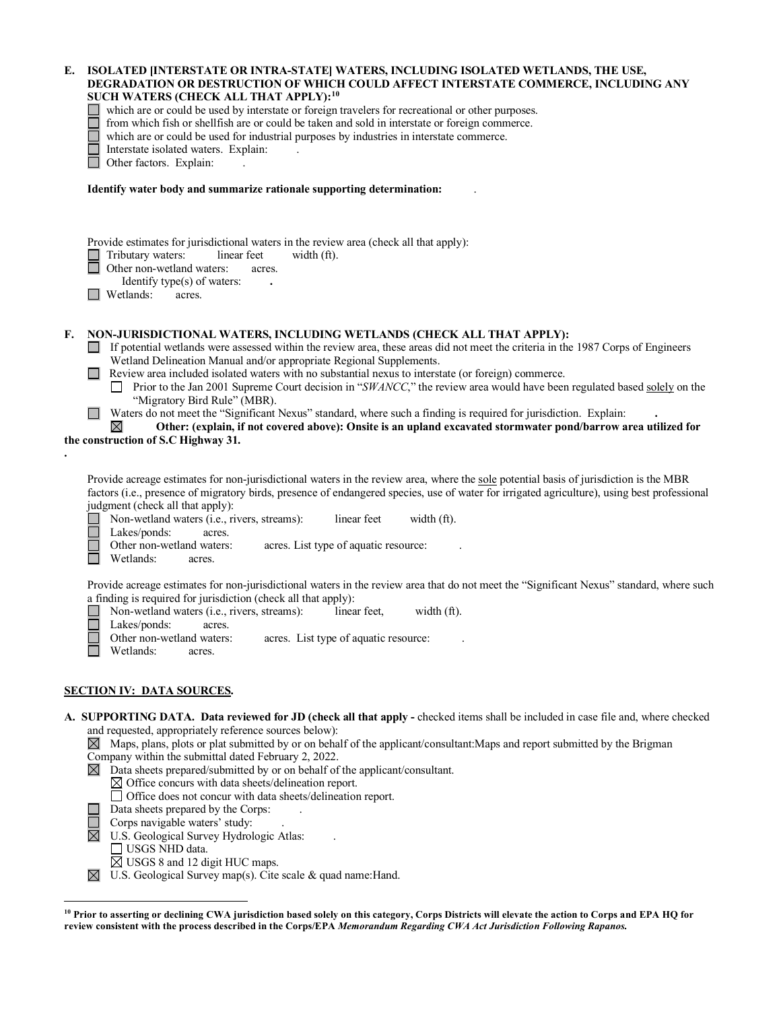| Е. | ISOLATED [INTERSTATE OR INTRA-STATE] WATERS, INCLUDING ISOLATED WETLANDS, THE USE,<br>DEGRADATION OR DESTRUCTION OF WHICH COULD AFFECT INTERSTATE COMMERCE, INCLUDING ANY<br>SUCH WATERS (CHECK ALL THAT APPLY): <sup>10</sup><br>which are or could be used by interstate or foreign travelers for recreational or other purposes.<br>from which fish or shellfish are or could be taken and sold in interstate or foreign commerce.<br>which are or could be used for industrial purposes by industries in interstate commerce.<br>Interstate isolated waters. Explain:<br>Other factors. Explain:                                                                                                                                                                                                                                                   |
|----|--------------------------------------------------------------------------------------------------------------------------------------------------------------------------------------------------------------------------------------------------------------------------------------------------------------------------------------------------------------------------------------------------------------------------------------------------------------------------------------------------------------------------------------------------------------------------------------------------------------------------------------------------------------------------------------------------------------------------------------------------------------------------------------------------------------------------------------------------------|
|    | Identify water body and summarize rationale supporting determination:                                                                                                                                                                                                                                                                                                                                                                                                                                                                                                                                                                                                                                                                                                                                                                                  |
|    |                                                                                                                                                                                                                                                                                                                                                                                                                                                                                                                                                                                                                                                                                                                                                                                                                                                        |
|    | Provide estimates for jurisdictional waters in the review area (check all that apply):<br>$\Box$ Tributary waters:<br>linear feet<br>width (ft).<br>Other non-wetland waters:<br>acres.<br>Identify type(s) of waters:<br>Wetlands:<br>acres.                                                                                                                                                                                                                                                                                                                                                                                                                                                                                                                                                                                                          |
| F. | NON-JURISDICTIONAL WATERS, INCLUDING WETLANDS (CHECK ALL THAT APPLY):<br>If potential wetlands were assessed within the review area, these areas did not meet the criteria in the 1987 Corps of Engineers<br>Wetland Delineation Manual and/or appropriate Regional Supplements.<br>$\Box$ Review area included isolated waters with no substantial nexus to interstate (or foreign) commerce.<br>Prior to the Jan 2001 Supreme Court decision in "SWANCC," the review area would have been regulated based solely on the<br>"Migratory Bird Rule" (MBR).<br>Waters do not meet the "Significant Nexus" standard, where such a finding is required for jurisdiction. Explain:<br>$\mathbf{1}$<br>Other: (explain, if not covered above): Onsite is an upland excavated stormwater pond/barrow area utilized for<br>the construction of S.C Highway 31. |
|    | Provide acreage estimates for non-jurisdictional waters in the review area, where the sole potential basis of jurisdiction is the MBR<br>factors (i.e., presence of migratory birds, presence of endangered species, use of water for irrigated agriculture), using best professional<br>judgment (check all that apply):<br>Non-wetland waters (i.e., rivers, streams):<br>linear feet<br>width (ft).<br>Lakes/ponds:<br>acres.<br>Other non-wetland waters:<br>acres. List type of aquatic resource:<br>Wetlands:<br>acres.                                                                                                                                                                                                                                                                                                                          |
|    | Provide acreage estimates for non-jurisdictional waters in the review area that do not meet the "Significant Nexus" standard, where such<br>a finding is required for jurisdiction (check all that apply):<br>Non-wetland waters (i.e., rivers, streams):<br>linear feet,<br>width $(ft)$ .<br>Lakes/ponds:<br>acres.<br>Other non-wetland waters: acres. List type of aquatic resource:<br>Wetlands:<br>acres.                                                                                                                                                                                                                                                                                                                                                                                                                                        |
|    | <b>SECTION IV: DATA SOURCES.</b>                                                                                                                                                                                                                                                                                                                                                                                                                                                                                                                                                                                                                                                                                                                                                                                                                       |
|    | A. SUPPORTING DATA. Data reviewed for JD (check all that apply - checked items shall be included in case file and, where checked                                                                                                                                                                                                                                                                                                                                                                                                                                                                                                                                                                                                                                                                                                                       |
|    | and requested, appropriately reference sources below):<br>$\boxtimes$ Maps, plans, plots or plat submitted by or on behalf of the applicant/consultant: Maps and report submitted by the Brigman<br>Company within the submittal dated February 2, 2022.<br>$\boxtimes$ Data sheets prepared/submitted by or on behalf of the applicant/consultant.<br>$\boxtimes$ Office concurs with data sheets/delineation report.<br>□ Office does not concur with data sheets/delineation report.<br>Data sheets prepared by the Corps:<br>Corps navigable waters' study:<br>U.S. Geological Survey Hydrologic Atlas:<br>USGS NHD data.<br>⊠ USGS 8 and 12 digit HUC maps.<br>U.S. Geological Survey map(s). Cite scale & quad name: Hand.<br>$\boxtimes$                                                                                                        |

<span id="page-6-0"></span>**<sup>10</sup> Prior to asserting or declining CWA jurisdiction based solely on this category, Corps Districts will elevate the action to Corps and EPA HQ for review consistent with the process described in the Corps/EPA** *Memorandum Regarding CWA Act Jurisdiction Following Rapanos.*